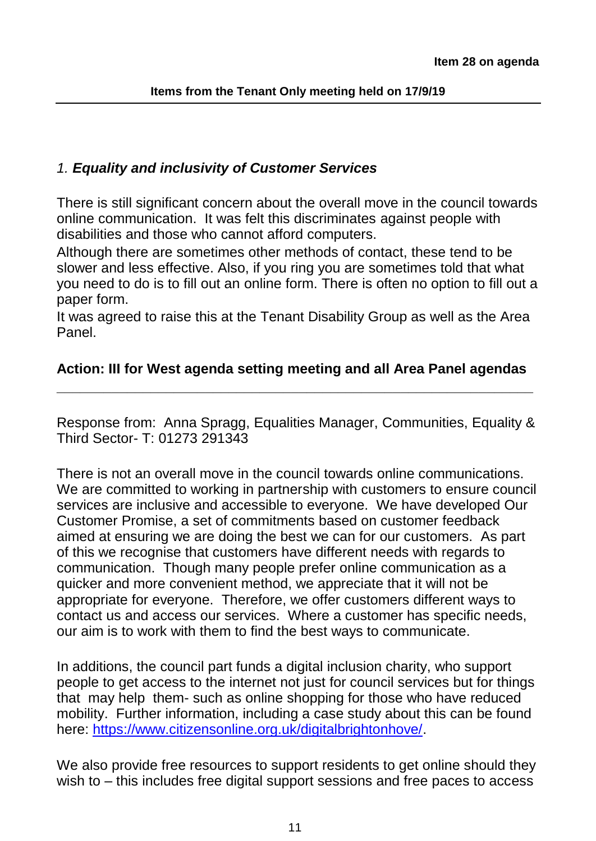#### *1. Equality and inclusivity of Customer Services*

There is still significant concern about the overall move in the council towards online communication. It was felt this discriminates against people with disabilities and those who cannot afford computers.

Although there are sometimes other methods of contact, these tend to be slower and less effective. Also, if you ring you are sometimes told that what you need to do is to fill out an online form. There is often no option to fill out a paper form.

It was agreed to raise this at the Tenant Disability Group as well as the Area Panel.

#### **Action: III for West agenda setting meeting and all Area Panel agendas \_\_\_\_\_\_\_\_\_\_\_\_\_\_\_\_\_\_\_\_\_\_\_\_\_\_\_\_\_\_\_\_\_\_\_\_\_\_\_\_\_\_\_\_\_\_\_\_\_\_\_\_\_\_\_\_\_\_\_\_\_**

Response from: Anna Spragg, Equalities Manager, Communities, Equality & Third Sector- T: 01273 291343

There is not an overall move in the council towards online communications. We are committed to working in partnership with customers to ensure council services are inclusive and accessible to everyone. We have developed Our Customer Promise, a set of commitments based on customer feedback aimed at ensuring we are doing the best we can for our customers. As part of this we recognise that customers have different needs with regards to communication. Though many people prefer online communication as a quicker and more convenient method, we appreciate that it will not be appropriate for everyone. Therefore, we offer customers different ways to contact us and access our services. Where a customer has specific needs, our aim is to work with them to find the best ways to communicate.

In additions, the council part funds a digital inclusion charity, who support people to get access to the internet not just for council services but for things that may help them- such as online shopping for those who have reduced mobility. Further information, including a case study about this can be found here: [https://www.citizensonline.org.uk/digitalbrightonhove/.](https://www.citizensonline.org.uk/digitalbrightonhove/)

We also provide free resources to support residents to get online should they wish to – this includes free digital support sessions and free paces to access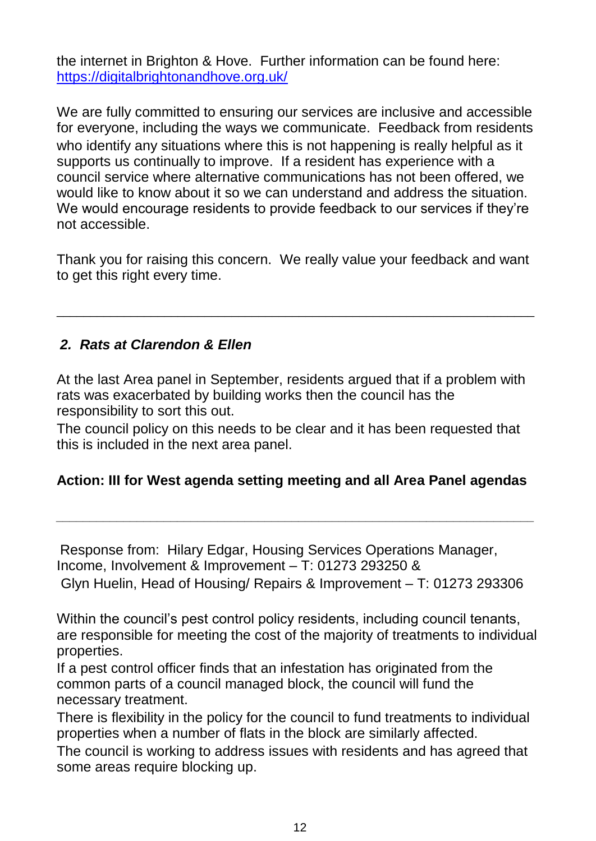the internet in Brighton & Hove. Further information can be found here: <https://digitalbrightonandhove.org.uk/>

We are fully committed to ensuring our services are inclusive and accessible for everyone, including the ways we communicate. Feedback from residents who identify any situations where this is not happening is really helpful as it supports us continually to improve. If a resident has experience with a council service where alternative communications has not been offered, we would like to know about it so we can understand and address the situation. We would encourage residents to provide feedback to our services if they're not accessible.

Thank you for raising this concern. We really value your feedback and want to get this right every time.

\_\_\_\_\_\_\_\_\_\_\_\_\_\_\_\_\_\_\_\_\_\_\_\_\_\_\_\_\_\_\_\_\_\_\_\_\_\_\_\_\_\_\_\_\_\_\_\_\_\_\_\_\_\_\_\_\_\_\_\_\_\_\_\_\_\_\_\_\_\_\_

## *2. Rats at Clarendon & Ellen*

At the last Area panel in September, residents argued that if a problem with rats was exacerbated by building works then the council has the responsibility to sort this out.

The council policy on this needs to be clear and it has been requested that this is included in the next area panel.

## **Action: III for West agenda setting meeting and all Area Panel agendas**

*\_\_\_\_\_\_\_\_\_\_\_\_\_\_\_\_\_\_\_\_\_\_\_\_\_\_\_\_\_\_\_\_\_\_\_\_\_\_\_\_\_\_\_\_\_\_\_\_\_\_\_\_\_\_\_\_\_\_\_\_\_\_\_\_\_\_\_\_\_\_\_*

Response from: Hilary Edgar, Housing Services Operations Manager, Income, Involvement & Improvement – T: 01273 293250 & Glyn Huelin, Head of Housing/ Repairs & Improvement – T: 01273 293306

Within the council's pest control policy residents, including council tenants, are responsible for meeting the cost of the majority of treatments to individual properties.

If a pest control officer finds that an infestation has originated from the common parts of a council managed block, the council will fund the necessary treatment.

There is flexibility in the policy for the council to fund treatments to individual properties when a number of flats in the block are similarly affected.

The council is working to address issues with residents and has agreed that some areas require blocking up.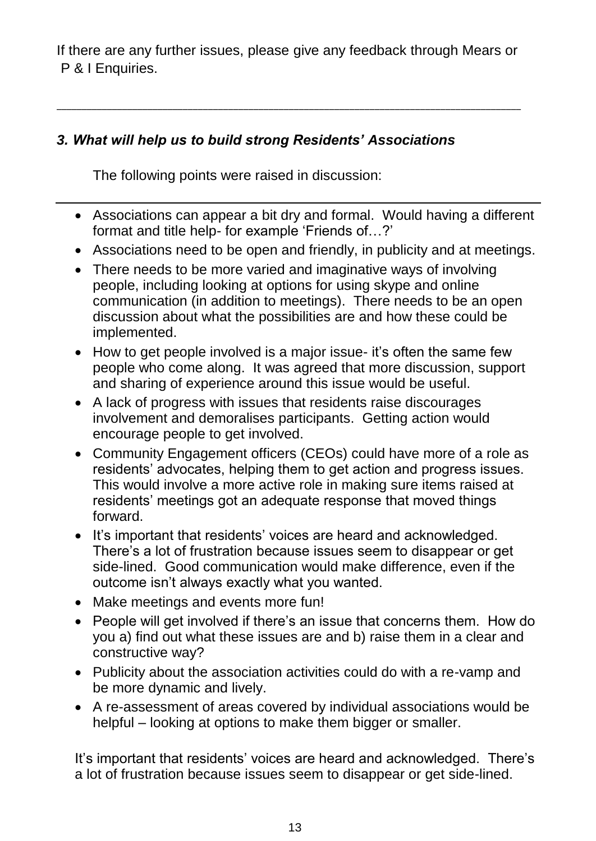If there are any further issues, please give any feedback through Mears or P & I Enquiries.

\_\_\_\_\_\_\_\_\_\_\_\_\_\_\_\_\_\_\_\_\_\_\_\_\_\_\_\_\_\_\_\_\_\_\_\_\_\_\_\_\_\_\_\_\_\_\_\_\_\_\_\_\_\_\_\_\_\_\_\_\_\_\_\_\_\_\_\_\_\_\_\_\_\_\_\_\_\_\_\_\_\_\_\_\_\_\_\_\_\_\_\_

# *3. What will help us to build strong Residents' Associations*

The following points were raised in discussion:

- Associations can appear a bit dry and formal. Would having a different format and title help- for example 'Friends of…?'
- Associations need to be open and friendly, in publicity and at meetings.
- There needs to be more varied and imaginative ways of involving people, including looking at options for using skype and online communication (in addition to meetings). There needs to be an open discussion about what the possibilities are and how these could be implemented.
- How to get people involved is a major issue- it's often the same few people who come along. It was agreed that more discussion, support and sharing of experience around this issue would be useful.
- A lack of progress with issues that residents raise discourages involvement and demoralises participants. Getting action would encourage people to get involved.
- Community Engagement officers (CEOs) could have more of a role as residents' advocates, helping them to get action and progress issues. This would involve a more active role in making sure items raised at residents' meetings got an adequate response that moved things forward.
- It's important that residents' voices are heard and acknowledged. There's a lot of frustration because issues seem to disappear or get side-lined. Good communication would make difference, even if the outcome isn't always exactly what you wanted.
- Make meetings and events more fun!
- People will get involved if there's an issue that concerns them. How do you a) find out what these issues are and b) raise them in a clear and constructive way?
- Publicity about the association activities could do with a re-vamp and be more dynamic and lively.
- A re-assessment of areas covered by individual associations would be helpful – looking at options to make them bigger or smaller.

It's important that residents' voices are heard and acknowledged. There's a lot of frustration because issues seem to disappear or get side-lined.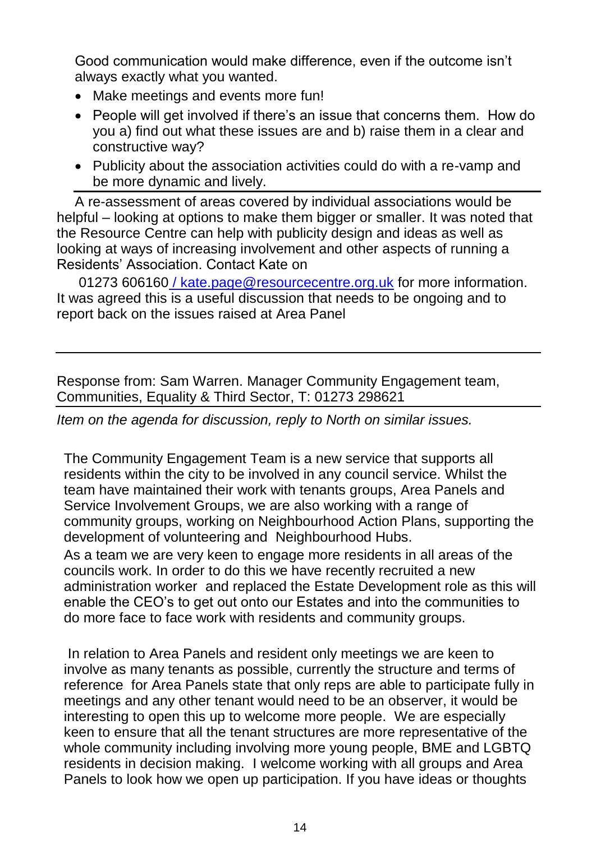Good communication would make difference, even if the outcome isn't always exactly what you wanted.

- Make meetings and events more fun!
- People will get involved if there's an issue that concerns them. How do you a) find out what these issues are and b) raise them in a clear and constructive way?
- Publicity about the association activities could do with a re-vamp and be more dynamic and lively.

A re-assessment of areas covered by individual associations would be helpful – looking at options to make them bigger or smaller. It was noted that the Resource Centre can help with publicity design and ideas as well as looking at ways of increasing involvement and other aspects of running a Residents' Association. Contact Kate on

01273 606160 / [kate.page@resourcecentre.org.uk](mailto:60616/kate.page@resourcecentre.org.uk) for more information. It was agreed this is a useful discussion that needs to be ongoing and to report back on the issues raised at Area Panel

Response from: Sam Warren. Manager Community Engagement team, Communities, Equality & Third Sector, T: 01273 298621

*Item on the agenda for discussion, reply to North on similar issues.* 

The Community Engagement Team is a new service that supports all residents within the city to be involved in any council service. Whilst the team have maintained their work with tenants groups, Area Panels and Service Involvement Groups, we are also working with a range of community groups, working on Neighbourhood Action Plans, supporting the development of volunteering and Neighbourhood Hubs.

As a team we are very keen to engage more residents in all areas of the councils work. In order to do this we have recently recruited a new administration worker and replaced the Estate Development role as this will enable the CEO's to get out onto our Estates and into the communities to do more face to face work with residents and community groups.

In relation to Area Panels and resident only meetings we are keen to involve as many tenants as possible, currently the structure and terms of reference for Area Panels state that only reps are able to participate fully in meetings and any other tenant would need to be an observer, it would be interesting to open this up to welcome more people. We are especially keen to ensure that all the tenant structures are more representative of the whole community including involving more young people, BME and LGBTQ residents in decision making. I welcome working with all groups and Area Panels to look how we open up participation. If you have ideas or thoughts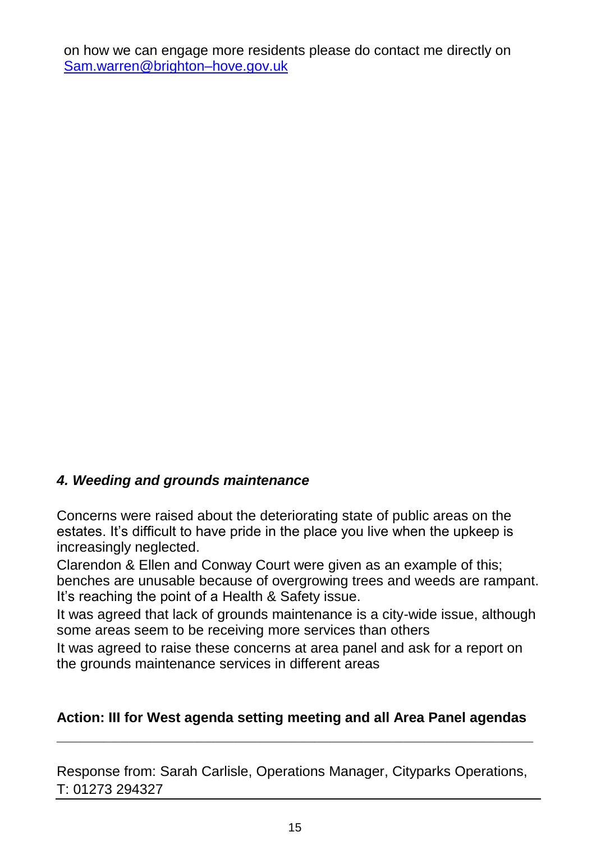on how we can engage more residents please do contact me directly on [Sam.warren@brighton–hove.gov.uk](mailto:Sam.warren@brighton–hove.gov.uk)

## *4. Weeding and grounds maintenance*

Concerns were raised about the deteriorating state of public areas on the estates. It's difficult to have pride in the place you live when the upkeep is increasingly neglected.

Clarendon & Ellen and Conway Court were given as an example of this; benches are unusable because of overgrowing trees and weeds are rampant. It's reaching the point of a Health & Safety issue.

It was agreed that lack of grounds maintenance is a city-wide issue, although some areas seem to be receiving more services than others

It was agreed to raise these concerns at area panel and ask for a report on the grounds maintenance services in different areas

#### **Action: III for West agenda setting meeting and all Area Panel agendas \_\_\_\_\_\_\_\_\_\_\_\_\_\_\_\_\_\_\_\_\_\_\_\_\_\_\_\_\_\_\_\_\_\_\_\_\_\_\_\_\_\_\_\_\_\_\_\_\_\_\_\_\_\_\_\_\_\_\_\_\_**

Response from: Sarah Carlisle, Operations Manager, Cityparks Operations, T: 01273 294327